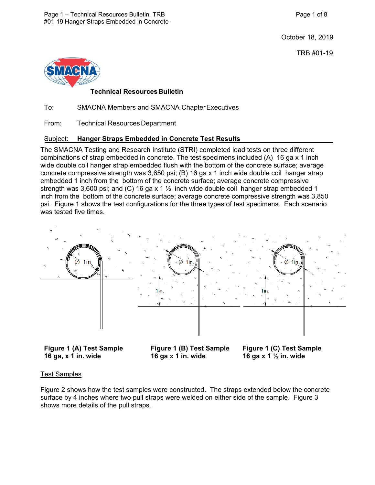October 18, 2019

TRB #01-19



# **Technical ResourcesBulletin**

To: SMACNA Members and SMACNA ChapterExecutives

From: Technical Resources Department

## Subject: **Hanger Straps Embedded in Concrete Test Results**

The SMACNA Testing and Research Institute (STRI) completed load tests on three different combinations of strap embedded in concrete. The test specimens included (A) 16 ga x 1 inch wide double coil hanger strap embedded flush with the bottom of the concrete surface; average concrete compressive strength was 3,650 psi; (B) 16 ga x 1 inch wide double coil hanger strap embedded 1 inch from the bottom of the concrete surface; average concrete compressive strength was 3,600 psi; and (C) 16 ga x 1  $\frac{1}{2}$  inch wide double coil hanger strap embedded 1 inch from the bottom of the concrete surface; average concrete compressive strength was 3,850 psi. Figure 1 shows the test configurations for the three types of test specimens. Each scenario was tested five times.



**Figure 1 (A) Test Sample Figure 1 (B) Test Sample Figure 1 (C) Test Sample 16 ga, x 1 in. wide 16 ga x 1 in. wide 16 ga x 1 ½ in. wide** 

#### Test Samples

Figure 2 shows how the test samples were constructed. The straps extended below the concrete surface by 4 inches where two pull straps were welded on either side of the sample. Figure 3 shows more details of the pull straps.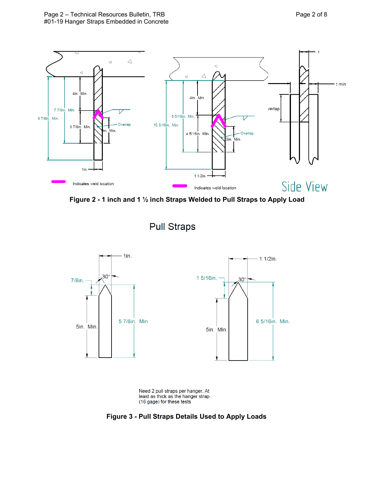

**Figure 2 - 1 inch and 1 ½ inch Straps Welded to Pull Straps to Apply Load**



**Pull Straps** 



**Figure 3 - Pull Straps Details Used to Apply Loads**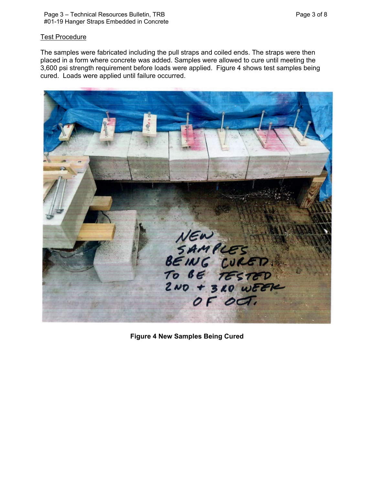### **Test Procedure**

The samples were fabricated including the pull straps and coiled ends. The straps were then placed in a form where concrete was added. Samples were allowed to cure until meeting the 3,600 psi strength requirement before loads were applied. Figure 4 shows test samples being cured. Loads were applied until failure occurred.



**Figure 4 New Samples Being Cured**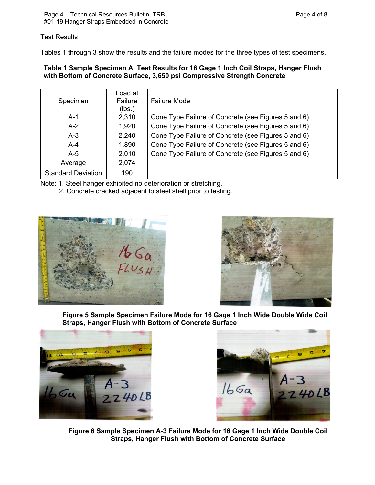# **Test Results**

Tables 1 through 3 show the results and the failure modes for the three types of test specimens.

#### **Table 1 Sample Specimen A, Test Results for 16 Gage 1 Inch Coil Straps, Hanger Flush with Bottom of Concrete Surface, 3,650 psi Compressive Strength Concrete**

| Specimen                  | Load at<br>Failure<br>(lbs.) | <b>Failure Mode</b>                                 |
|---------------------------|------------------------------|-----------------------------------------------------|
| $A-1$                     | 2,310                        | Cone Type Failure of Concrete (see Figures 5 and 6) |
| $A-2$                     | 1,920                        | Cone Type Failure of Concrete (see Figures 5 and 6) |
| $A-3$                     | 2,240                        | Cone Type Failure of Concrete (see Figures 5 and 6) |
| $A-4$                     | 1,890                        | Cone Type Failure of Concrete (see Figures 5 and 6) |
| $A-5$                     | 2,010                        | Cone Type Failure of Concrete (see Figures 5 and 6) |
| Average                   | 2,074                        |                                                     |
| <b>Standard Deviation</b> | 190                          |                                                     |

Note: 1. Steel hanger exhibited no deterioration or stretching.

2. Concrete cracked adjacent to steel shell prior to testing.





**Figure 5 Sample Specimen Failure Mode for 16 Gage 1 Inch Wide Double Wide Coil Straps, Hanger Flush with Bottom of Concrete Surface**





**Figure 6 Sample Specimen A-3 Failure Mode for 16 Gage 1 Inch Wide Double Coil Straps, Hanger Flush with Bottom of Concrete Surface**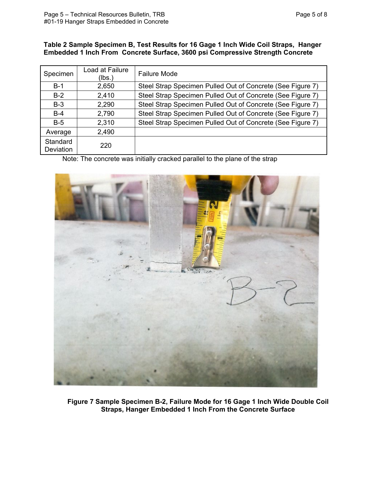#### **Table 2 Sample Specimen B, Test Results for 16 Gage 1 Inch Wide Coil Straps, Hanger Embedded 1 Inch From Concrete Surface, 3600 psi Compressive Strength Concrete**

| Specimen              | Load at Failure<br>(lbs.) | <b>Failure Mode</b>                                        |
|-----------------------|---------------------------|------------------------------------------------------------|
| $B-1$                 | 2,650                     | Steel Strap Specimen Pulled Out of Concrete (See Figure 7) |
| $B-2$                 | 2,410                     | Steel Strap Specimen Pulled Out of Concrete (See Figure 7) |
| $B-3$                 | 2,290                     | Steel Strap Specimen Pulled Out of Concrete (See Figure 7) |
| $B-4$                 | 2,790                     | Steel Strap Specimen Pulled Out of Concrete (See Figure 7) |
| $B-5$                 | 2,310                     | Steel Strap Specimen Pulled Out of Concrete (See Figure 7) |
| Average               | 2,490                     |                                                            |
| Standard<br>Deviation | 220                       |                                                            |

Note: The concrete was initially cracked parallel to the plane of the strap



**Figure 7 Sample Specimen B-2, Failure Mode for 16 Gage 1 Inch Wide Double Coil Straps, Hanger Embedded 1 Inch From the Concrete Surface**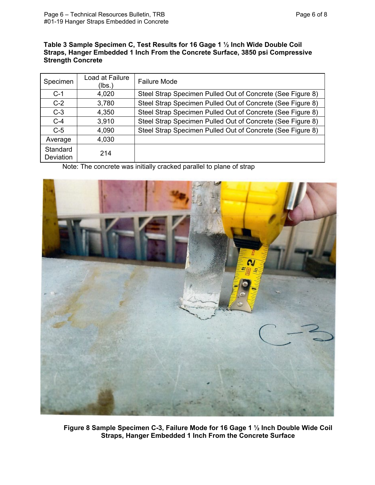#### **Table 3 Sample Specimen C, Test Results for 16 Gage 1 ½ Inch Wide Double Coil Straps, Hanger Embedded 1 Inch From the Concrete Surface, 3850 psi Compressive Strength Concrete**

| Specimen              | Load at Failure<br>(lbs.) | <b>Failure Mode</b>                                        |
|-----------------------|---------------------------|------------------------------------------------------------|
| $C-1$                 | 4,020                     | Steel Strap Specimen Pulled Out of Concrete (See Figure 8) |
| $C-2$                 | 3,780                     | Steel Strap Specimen Pulled Out of Concrete (See Figure 8) |
| $C-3$                 | 4,350                     | Steel Strap Specimen Pulled Out of Concrete (See Figure 8) |
| $C-4$                 | 3,910                     | Steel Strap Specimen Pulled Out of Concrete (See Figure 8) |
| $C-5$                 | 4,090                     | Steel Strap Specimen Pulled Out of Concrete (See Figure 8) |
| Average               | 4,030                     |                                                            |
| Standard<br>Deviation | 214                       |                                                            |

Note: The concrete was initially cracked parallel to plane of strap



**Figure 8 Sample Specimen C-3, Failure Mode for 16 Gage 1 ½ Inch Double Wide Coil Straps, Hanger Embedded 1 Inch From the Concrete Surface**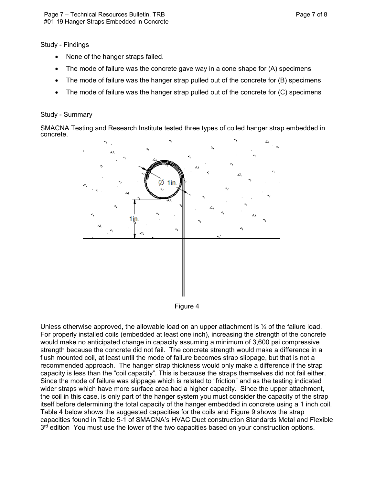#### Study - Findings

- None of the hanger straps failed.
- The mode of failure was the concrete gave way in a cone shape for  $(A)$  specimens
- The mode of failure was the hanger strap pulled out of the concrete for (B) specimens
- The mode of failure was the hanger strap pulled out of the concrete for (C) specimens

#### Study - Summary

SMACNA Testing and Research Institute tested three types of coiled hanger strap embedded in concrete.



Figure 4

Unless otherwise approved, the allowable load on an upper attachment is  $\frac{1}{4}$  of the failure load. For properly installed coils (embedded at least one inch), increasing the strength of the concrete would make no anticipated change in capacity assuming a minimum of 3,600 psi compressive strength because the concrete did not fail. The concrete strength would make a difference in a flush mounted coil, at least until the mode of failure becomes strap slippage, but that is not a recommended approach. The hanger strap thickness would only make a difference if the strap capacity is less than the "coil capacity". This is because the straps themselves did not fail either. Since the mode of failure was slippage which is related to "friction" and as the testing indicated wider straps which have more surface area had a higher capacity. Since the upper attachment, the coil in this case, is only part of the hanger system you must consider the capacity of the strap itself before determining the total capacity of the hanger embedded in concrete using a 1 inch coil. Table 4 below shows the suggested capacities for the coils and Figure 9 shows the strap capacities found in Table 5-1 of SMACNA's HVAC Duct construction Standards Metal and Flexible 3<sup>rd</sup> edition You must use the lower of the two capacities based on your construction options.